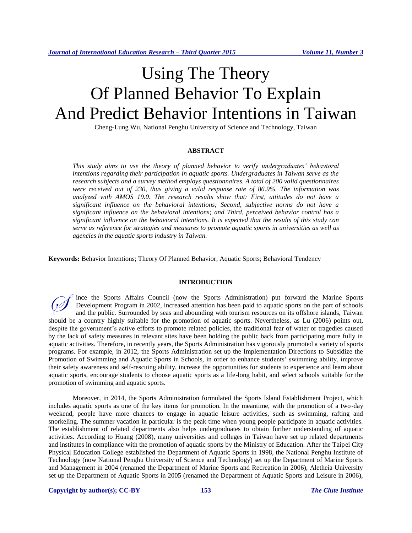# Using The Theory Of Planned Behavior To Explain And Predict Behavior Intentions in Taiwan

Cheng-Lung Wu, National Penghu University of Science and Technology, Taiwan

# **ABSTRACT**

*This study aims to use the theory of planned behavior to verify undergraduates' behavioral intentions regarding their participation in aquatic sports. Undergraduates in Taiwan serve as the research subjects and a survey method employs questionnaires. A total of 200 valid questionnaires were received out of 230, thus giving a valid response rate of 86.9%. The information was analyzed with AMOS 19.0. The research results show that: First, attitudes do not have a significant influence on the behavioral intentions; Second, subjective norms do not have a significant influence on the behavioral intentions; and Third, perceived behavior control has a significant influence on the behavioral intentions. It is expected that the results of this study can serve as reference for strategies and measures to promote aquatic sports in universities as well as agencies in the aquatic sports industry in Taiwan.*

**Keywords:** Behavior Intentions; Theory Of Planned Behavior; Aquatic Sports; Behavioral Tendency

# **INTRODUCTION**

ince the Sports Affairs Council (now the Sports Administration) put forward the Marine Sports Development Program in 2002, increased attention has been paid to aquatic sports on the part of schools and the public. Surrounded by seas and abounding with tourism resources on its offshore islands, Taiwan should be a country highly suitable for the promotion of aquatic sports. Nevertheless, as [Lu](http://ndltd.ncl.edu.tw/cgi-bin/gs32/gsweb.cgi/ccd=aW39Yt/search?q=aue=%22Lewis%20Lu%22.&searchmode=basic) (2006) points out, despite the government's active efforts to promote related policies, the traditional fear of water or tragedies caused by the lack of safety measures in relevant sites have been holding the public back from participating more fully in aquatic activities. Therefore, in recently years, the Sports Administration has vigorously promoted a variety of sports programs. For example, in 2012, the Sports Administration set up the Implementation Directions to Subsidize the Promotion of Swimming and Aquatic Sports in Schools, in order to enhance students' swimming ability, improve their safety awareness and self-rescuing ability, increase the opportunities for students to experience and learn about aquatic sports, encourage students to choose aquatic sports as a life-long habit, and select schools suitable for the promotion of swimming and aquatic sports.  $\oslash$ 

Moreover, in 2014, the Sports Administration formulated the Sports Island Establishment Project, which includes aquatic sports as one of the key items for promotion. In the meantime, with the promotion of a two-day weekend, people have more chances to engage in aquatic leisure activities, such as swimming, rafting and snorkeling. The summer vacation in particular is the peak time when young people participate in aquatic activities. The establishment of related departments also helps undergraduates to obtain further understanding of aquatic activities. According to Huang (2008), many universities and colleges in Taiwan have set up related departments and institutes in compliance with the promotion of aquatic sports by the Ministry of Education. After the Taipei City Physical Education College established the Department of Aquatic Sports in 1998, the National Penghu Institute of Technology (now National Penghu University of Science and Technology) set up the Department of Marine Sports and Management in 2004 (renamed the Department of Marine Sports and Recreation in 2006), Aletheia University set up the Department of Aquatic Sports in 2005 (renamed the Department of Aquatic Sports and Leisure in 2006),

**Copyright by author(s); CC-BY 153** *The Clute Institute*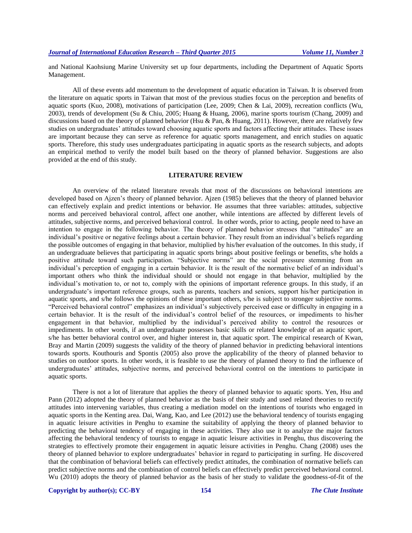and National Kaohsiung Marine University set up four departments, including the Department of Aquatic Sports Management.

All of these events add momentum to the development of aquatic education in Taiwan. It is observed from the literature on aquatic sports in Taiwan that most of the previous studies focus on the perception and benefits of aquatic sports (Kuo, 2008), motivations of participation (Lee, 2009; Chen & Lai, 2009), recreation conflicts (Wu, 2003), trends of development (Su & Chiu, 2005; Huang & Huang, 2006), marine sports tourism (Chang, 2009) and discussions based on the theory of planned behavior (Hsu & Pan, & Huang, 2011). However, there are relatively few studies on undergraduates' attitudes toward choosing aquatic sports and factors affecting their attitudes. These issues are important because they can serve as reference for aquatic sports management, and enrich studies on aquatic sports. Therefore, this study uses undergraduates participating in aquatic sports as the research subjects, and adopts an empirical method to verify the model built based on the theory of planned behavior. Suggestions are also provided at the end of this study.

#### **LITERATURE REVIEW**

An overview of the related literature reveals that most of the discussions on behavioral intentions are developed based on Ajzen's theory of planned behavior. Ajzen (1985) believes that the theory of planned behavior can effectively explain and predict intentions or behavior. He assumes that three variables: attitudes, subjective norms and perceived behavioral control, affect one another, while intentions are affected by different levels of attitudes, subjective norms, and perceived behavioral control. In other words, prior to acting, people need to have an intention to engage in the following behavior. The theory of planned behavior stresses that "attitudes" are an individual's positive or negative feelings about a certain behavior. They result from an individual's beliefs regarding the possible outcomes of engaging in that behavior, multiplied by his/her evaluation of the outcomes. In this study, if an undergraduate believes that participating in aquatic sports brings about positive feelings or benefits, s/he holds a positive attitude toward such participation. "Subjective norms" are the social pressure stemming from an individual's perception of engaging in a certain behavior. It is the result of the normative belief of an individual's important others who think the individual should or should not engage in that behavior, multiplied by the individual's motivation to, or not to, comply with the opinions of important reference groups. In this study, if an undergraduate's important reference groups, such as parents, teachers and seniors, support his/her participation in aquatic sports, and s/he follows the opinions of these important others, s/he is subject to stronger subjective norms. "Perceived behavioral control" emphasizes an individual's subjectively perceived ease or difficulty in engaging in a certain behavior. It is the result of the individual's control belief of the resources, or impediments to his/her engagement in that behavior, multiplied by the individual's perceived ability to control the resources or impediments. In other words, if an undergraduate possesses basic skills or related knowledge of an aquatic sport, s/he has better behavioral control over, and higher interest in, that aquatic sport. The empirical research of Kwan, Bray and Martin (2009) suggests the validity of the theory of planned behavior in predicting behavioral intentions towards sports. Kouthouris and Spontis (2005) also prove the applicability of the theory of planned behavior to studies on outdoor sports. In other words, it is feasible to use the theory of planned theory to find the influence of undergraduates' attitudes, subjective norms, and perceived behavioral control on the intentions to participate in aquatic sports.

There is not a lot of literature that applies the theory of planned behavior to aquatic sports. Yen, Hsu and Pann (2012) adopted the theory of planned behavior as the basis of their study and used related theories to rectify attitudes into intervening variables, thus creating a mediation model on the intentions of tourists who engaged in aquatic sports in the Kenting area. Dai, Wang, Kao, and Lee (2012) use the behavioral tendency of tourists engaging in aquatic leisure activities in Penghu to examine the suitability of applying the theory of planned behavior to predicting the behavioral tendency of engaging in these activities. They also use it to analyze the major factors affecting the behavioral tendency of tourists to engage in aquatic leisure activities in Penghu, thus discovering the strategies to effectively promote their engagement in aquatic leisure activities in Penghu. Chang (2008) uses the theory of planned behavior to explore undergraduates' behavior in regard to participating in surfing. He discovered that the combination of behavioral beliefs can effectively predict attitudes, the combination of normative beliefs can predict subjective norms and the combination of control beliefs can effectively predict perceived behavioral control. Wu (2010) adopts the theory of planned behavior as the basis of her study to validate the goodness-of-fit of the

# **Copyright by author(s); CC-BY 154** *The Clute Institute*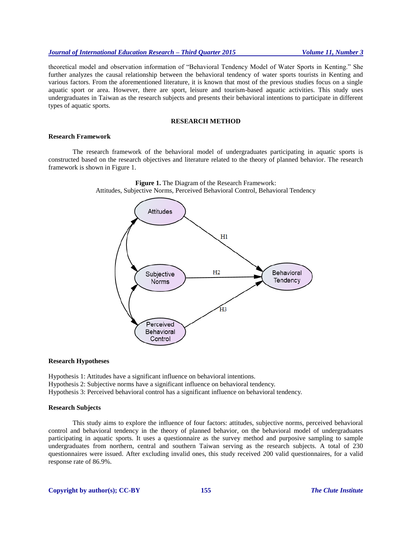# *Journal of International Education Research – Third Quarter 2015 Volume 11, Number 3*

theoretical model and observation information of "Behavioral Tendency Model of Water Sports in Kenting." She further analyzes the causal relationship between the behavioral tendency of water sports tourists in Kenting and various factors. From the aforementioned literature, it is known that most of the previous studies focus on a single aquatic sport or area. However, there are sport, leisure and tourism-based aquatic activities. This study uses undergraduates in Taiwan as the research subjects and presents their behavioral intentions to participate in different types of aquatic sports.

# **RESEARCH METHOD**

# **Research Framework**

The research framework of the behavioral model of undergraduates participating in aquatic sports is constructed based on the research objectives and literature related to the theory of planned behavior. The research framework is shown in Figure 1.





#### **Research Hypotheses**

Hypothesis 1: Attitudes have a significant influence on behavioral intentions. Hypothesis 2: Subjective norms have a significant influence on behavioral tendency. Hypothesis 3: Perceived behavioral control has a significant influence on behavioral tendency.

# **Research Subjects**

This study aims to explore the influence of four factors: attitudes, subjective norms, perceived behavioral control and behavioral tendency in the theory of planned behavior, on the behavioral model of undergraduates participating in aquatic sports. It uses a questionnaire as the survey method and purposive sampling to sample undergraduates from northern, central and southern Taiwan serving as the research subjects. A total of 230 questionnaires were issued. After excluding invalid ones, this study received 200 valid questionnaires, for a valid response rate of 86.9%.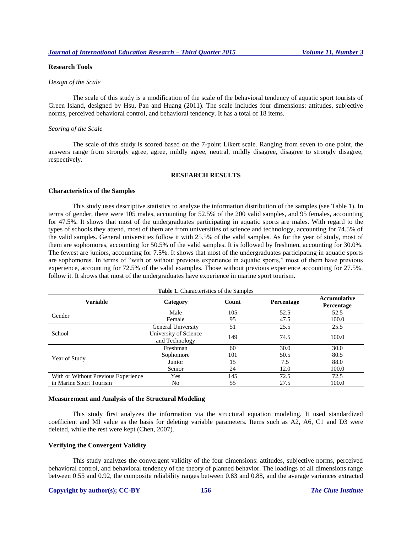# **Research Tools**

# *Design of the Scale*

The scale of this study is a modification of the scale of the behavioral tendency of aquatic sport tourists of Green Island, designed by Hsu, Pan and Huang (2011). The scale includes four dimensions: attitudes, subjective norms, perceived behavioral control, and behavioral tendency. It has a total of 18 items.

#### *Scoring of the Scale*

The scale of this study is scored based on the 7-point Likert scale. Ranging from seven to one point, the answers range from strongly agree, agree, mildly agree, neutral, mildly disagree, disagree to strongly disagree, respectively.

#### **RESEARCH RESULTS**

#### **Characteristics of the Samples**

This study uses descriptive statistics to analyze the information distribution of the samples (see Table 1). In terms of gender, there were 105 males, accounting for 52.5% of the 200 valid samples, and 95 females, accounting for 47.5%. It shows that most of the undergraduates participating in aquatic sports are males. With regard to the types of schools they attend, most of them are from universities of science and technology, accounting for 74.5% of the valid samples. General universities follow it with 25.5% of the valid samples. As for the year of study, most of them are sophomores, accounting for 50.5% of the valid samples. It is followed by freshmen, accounting for 30.0%. The fewest are juniors, accounting for 7.5%. It shows that most of the undergraduates participating in aquatic sports are sophomores. In terms of "with or without previous experience in aquatic sports," most of them have previous experience, accounting for 72.5% of the valid examples. Those without previous experience accounting for 27.5%, follow it. It shows that most of the undergraduates have experience in marine sport tourism.

| <b>Table 1.</b> Characteristics of the Samples |                                         |       |                   |                            |  |
|------------------------------------------------|-----------------------------------------|-------|-------------------|----------------------------|--|
| Variable                                       | Category                                | Count | <b>Percentage</b> | Accumulative<br>Percentage |  |
| Gender                                         | Male                                    | 105   | 52.5              | 52.5                       |  |
|                                                | Female                                  | 95    | 47.5              | 100.0                      |  |
|                                                | General University                      | 51    | 25.5              | 25.5                       |  |
| School                                         | University of Science<br>and Technology | 149   | 74.5              | 100.0                      |  |
|                                                | Freshman                                | 60    | 30.0              | 30.0                       |  |
|                                                | Sophomore                               | 101   | 50.5              | 80.5                       |  |
| Year of Study                                  | Junior                                  | 15    | 7.5               | 88.0                       |  |
|                                                | Senior                                  | 24    | 12.0              | 100.0                      |  |
| With or Without Previous Experience            | Yes                                     | 145   | 72.5              | 72.5                       |  |
| in Marine Sport Tourism                        | No                                      | 55    | 27.5              | 100.0                      |  |

#### **Measurement and Analysis of the Structural Modeling**

This study first analyzes the information via the structural equation modeling. It used standardized coefficient and MI value as the basis for deleting variable parameters. Items such as A2, A6, C1 and D3 were deleted, while the rest were kept (Chen, 2007).

#### **Verifying the Convergent Validity**

This study analyzes the convergent validity of the four dimensions: attitudes, subjective norms, perceived behavioral control, and behavioral tendency of the theory of planned behavior. The loadings of all dimensions range between 0.55 and 0.92, the composite reliability ranges between 0.83 and 0.88, and the average variances extracted

# **Copyright by author(s); CC-BY 156** *The Clute Institute*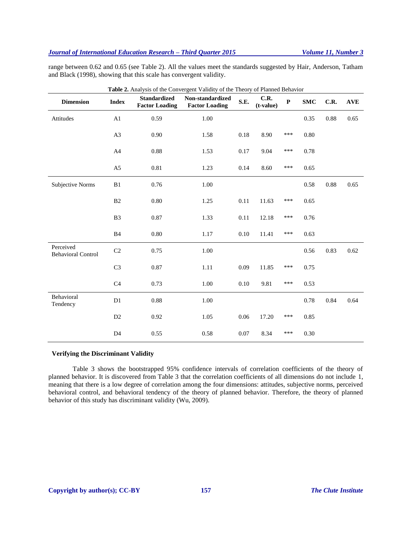# *Journal of International Education Research – Third Quarter 2015 Volume 11, Number 3*

range between 0.62 and 0.65 (see Table 2). All the values meet the standards suggested by Hair, Anderson, Tatham and Black (1998), showing that this scale has convergent validity.

| Table 2. Analysis of the Convergent Validity of the Theory of Planned Behavior |                |                                              |                                           |      |                     |             |            |      |            |
|--------------------------------------------------------------------------------|----------------|----------------------------------------------|-------------------------------------------|------|---------------------|-------------|------------|------|------------|
| <b>Dimension</b>                                                               | <b>Index</b>   | <b>Standardized</b><br><b>Factor Loading</b> | Non-standardized<br><b>Factor Loading</b> | S.E. | C.R.<br>$(t-value)$ | $\mathbf P$ | <b>SMC</b> | C.R. | <b>AVE</b> |
| Attitudes                                                                      | A1             | 0.59                                         | 1.00                                      |      |                     |             | 0.35       | 0.88 | 0.65       |
|                                                                                | A <sub>3</sub> | 0.90                                         | 1.58                                      | 0.18 | 8.90                | ***         | 0.80       |      |            |
|                                                                                | A4             | 0.88                                         | 1.53                                      | 0.17 | 9.04                | ***         | 0.78       |      |            |
|                                                                                | A <sub>5</sub> | 0.81                                         | 1.23                                      | 0.14 | 8.60                | ***         | 0.65       |      |            |
| Subjective Norms                                                               | B1             | 0.76                                         | 1.00                                      |      |                     |             | 0.58       | 0.88 | 0.65       |
|                                                                                | B <sub>2</sub> | 0.80                                         | 1.25                                      | 0.11 | 11.63               | ***         | 0.65       |      |            |
|                                                                                | B <sub>3</sub> | 0.87                                         | 1.33                                      | 0.11 | 12.18               | ***         | 0.76       |      |            |
|                                                                                | B4             | 0.80                                         | 1.17                                      | 0.10 | 11.41               | ***         | 0.63       |      |            |
| Perceived<br><b>Behavioral Control</b>                                         | C <sub>2</sub> | 0.75                                         | 1.00                                      |      |                     |             | 0.56       | 0.83 | 0.62       |
|                                                                                | C <sub>3</sub> | 0.87                                         | 1.11                                      | 0.09 | 11.85               | ***         | 0.75       |      |            |
|                                                                                | C <sub>4</sub> | 0.73                                         | 1.00                                      | 0.10 | 9.81                | ***         | 0.53       |      |            |
| Behavioral<br>Tendency                                                         | D1             | 0.88                                         | 1.00                                      |      |                     |             | 0.78       | 0.84 | 0.64       |
|                                                                                | D2             | 0.92                                         | 1.05                                      | 0.06 | 17.20               | ***         | 0.85       |      |            |
|                                                                                | D <sub>4</sub> | 0.55                                         | 0.58                                      | 0.07 | 8.34                | ***         | 0.30       |      |            |

# **Verifying the Discriminant Validity**

Table 3 shows the bootstrapped 95% confidence intervals of correlation coefficients of the theory of planned behavior. It is discovered from Table 3 that the correlation coefficients of all dimensions do not include 1, meaning that there is a low degree of correlation among the four dimensions: attitudes, subjective norms, perceived behavioral control, and behavioral tendency of the theory of planned behavior. Therefore, the theory of planned behavior of this study has discriminant validity (Wu, 2009).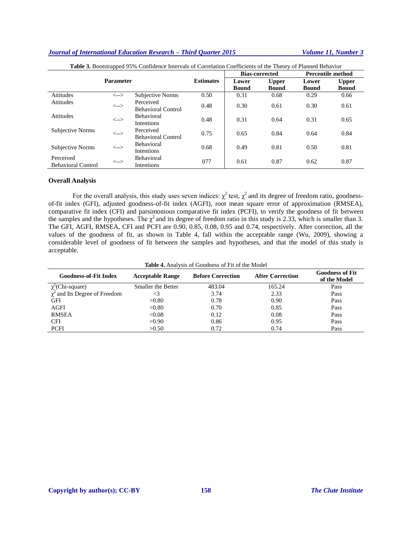# *Journal of International Education Research – Third Quarter 2015 Volume 11, Number 3*

| . .<br><b>Parameter</b>                                     |                                         | <b>Estimates</b>          | <b>Bias-corrected</b> |              | <b>Percentile method</b> |              |              |
|-------------------------------------------------------------|-----------------------------------------|---------------------------|-----------------------|--------------|--------------------------|--------------|--------------|
|                                                             |                                         |                           | Lower                 | <b>Upper</b> | Lower                    | <b>Upper</b> |              |
|                                                             |                                         |                           |                       | <b>Bound</b> | <b>Bound</b>             | <b>Bound</b> | <b>Bound</b> |
| <b>Attitudes</b>                                            | $\left\langle \leftarrow \right\rangle$ | Subjective Norms          | 0.50                  | 0.31         | 0.68                     | 0.29         | 0.66         |
| <b>Attitudes</b>                                            | $\left\langle \leftarrow \right\rangle$ | Perceived                 | 0.48                  | 0.30         | 0.61                     | 0.30         | 0.61         |
|                                                             |                                         | <b>Behavioral Control</b> |                       |              |                          |              |              |
| <b>Attitudes</b>                                            | $\left\langle \leftarrow \right\rangle$ | <b>Behavioral</b>         | 0.48                  | 0.31         | 0.64                     | 0.31         | 0.65         |
|                                                             |                                         | <b>Intentions</b>         |                       |              |                          |              |              |
| Subjective Norms                                            | $\left\langle \leftarrow \right\rangle$ | Perceived                 | 0.75                  | 0.65         | 0.84                     | 0.64         | 0.84         |
|                                                             |                                         | <b>Behavioral Control</b> |                       |              |                          |              |              |
| Subjective Norms<br>$\left\langle \leftarrow \right\rangle$ |                                         | <b>Behavioral</b>         | 0.68                  | 0.49         | 0.81                     | 0.50         | 0.81         |
|                                                             |                                         | <b>Intentions</b>         |                       |              |                          |              |              |
| Perceived                                                   |                                         | Behavioral                |                       |              |                          |              |              |
| <b>Behavioral Control</b>                                   | $\left\langle \leftarrow \right\rangle$ | Intentions                | 077                   | 0.61         | 0.87                     | 0.62         | 0.87         |

**Table 3.** Bootstrapped 95% Confidence Intervals of Correlation Coefficients of the Theory of Planned Behavior

# **Overall Analysis**

For the overall analysis, this study uses seven indices:  $\chi^2$  test,  $\chi^2$  and its degree of freedom ratio, goodnessof-fit index (GFI), adjusted goodness-of-fit index (AGFI), root mean square error of approximation (RMSEA), comparative fit index (CFI) and parsimonious comparative fit index (PCFI), to verify the goodness of fit between the samples and the hypotheses. The  $\chi^2$  and its degree of freedom ratio in this study is 2.33, which is smaller than 3. The GFI, AGFI, RMSEA, CFI and PCFI are 0.90, 0.85, 0.08, 0.95 and 0.74, respectively. After correction, all the values of the goodness of fit, as shown in Table 4, fall within the acceptable range (Wu, 2009), showing a considerable level of goodness of fit between the samples and hypotheses, and that the model of this study is acceptable.

**Table 4.** Analysis of Goodness of Fit of the Model

| <b>Goodness-of-Fit Index</b>         | <b>Acceptable Range</b>   | <b>Before Correction</b> | <b>After Correction</b> | <b>Goodness of Fit</b><br>of the Model |
|--------------------------------------|---------------------------|--------------------------|-------------------------|----------------------------------------|
| $\chi^2$ (Chi-square)                | <b>Smaller the Better</b> | 483.04                   | 165.24                  | Pass                                   |
| $\gamma^2$ and Its Degree of Freedom |                           | 3.74                     | 2.33                    | Pass                                   |
| GFI                                  | >0.80                     | 0.78                     | 0.90                    | Pass                                   |
| <b>AGFI</b>                          | >0.80                     | 0.70                     | 0.85                    | Pass                                   |
| RMSEA                                | < 0.08                    | 0.12                     | 0.08                    | Pass                                   |
| <b>CFI</b>                           | >0.90                     | 0.86                     | 0.95                    | Pass                                   |
| <b>PCFI</b>                          | >0.50                     | 0.72                     | 0.74                    | Pass                                   |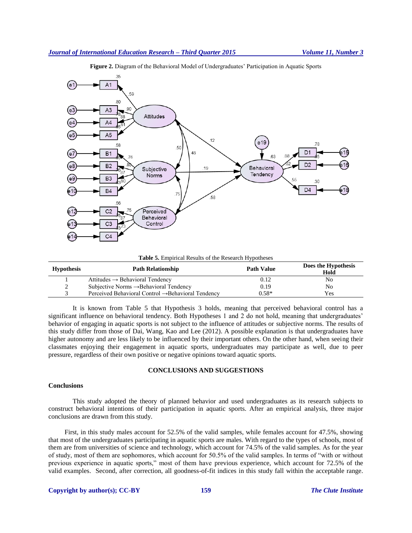



**Table 5.** Empirical Results of the Research Hypotheses

| <b>Hypothesis</b> | <b>Path Relationship</b>                                       | <b>Path Value</b> | Does the Hypothesis<br>Hold |
|-------------------|----------------------------------------------------------------|-------------------|-----------------------------|
|                   | Attitudes $\rightarrow$ Behavioral Tendency                    | 0.12              | No                          |
| ∽                 | Subjective Norms $\rightarrow$ Behavioral Tendency             | 0.19              | No                          |
|                   | Perceived Behavioral Control $\rightarrow$ Behavioral Tendency | 0.58*             | Yes                         |

It is known from Table 5 that Hypothesis 3 holds, meaning that perceived behavioral control has a significant influence on behavioral tendency. Both Hypotheses 1 and 2 do not hold, meaning that undergraduates' behavior of engaging in aquatic sports is not subject to the influence of attitudes or subjective norms. The results of this study differ from those of Dai, Wang, Kao and Lee (2012). A possible explanation is that undergraduates have higher autonomy and are less likely to be influenced by their important others. On the other hand, when seeing their classmates enjoying their engagement in aquatic sports, undergraduates may participate as well, due to peer pressure, regardless of their own positive or negative opinions toward aquatic sports.

# **CONCLUSIONS AND SUGGESTIONS**

# **Conclusions**

This study adopted the theory of planned behavior and used undergraduates as its research subjects to construct behavioral intentions of their participation in aquatic sports. After an empirical analysis, three major conclusions are drawn from this study.

First, in this study males account for 52.5% of the valid samples, while females account for 47.5%, showing that most of the undergraduates participating in aquatic sports are males. With regard to the types of schools, most of them are from universities of science and technology, which account for 74.5% of the valid samples. As for the year of study, most of them are sophomores, which account for 50.5% of the valid samples. In terms of "with or without previous experience in aquatic sports," most of them have previous experience, which account for 72.5% of the valid examples. Second, after correction, all goodness-of-fit indices in this study fall within the acceptable range.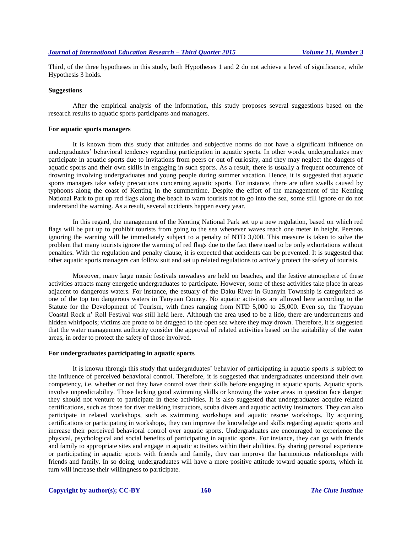Third, of the three hypotheses in this study, both Hypotheses 1 and 2 do not achieve a level of significance, while Hypothesis 3 holds.

# **Suggestions**

After the empirical analysis of the information, this study proposes several suggestions based on the research results to aquatic sports participants and managers.

# **For aquatic sports managers**

It is known from this study that attitudes and subjective norms do not have a significant influence on undergraduates' behavioral tendency regarding participation in aquatic sports. In other words, undergraduates may participate in aquatic sports due to invitations from peers or out of curiosity, and they may neglect the dangers of aquatic sports and their own skills in engaging in such sports. As a result, there is usually a frequent occurrence of drowning involving undergraduates and young people during summer vacation. Hence, it is suggested that aquatic sports managers take safety precautions concerning aquatic sports. For instance, there are often swells caused by typhoons along the coast of Kenting in the summertime. Despite the effort of the management of the Kenting National Park to put up red flags along the beach to warn tourists not to go into the sea, some still ignore or do not understand the warning. As a result, several accidents happen every year.

In this regard, the management of the Kenting National Park set up a new regulation, based on which red flags will be put up to prohibit tourists from going to the sea whenever waves reach one meter in height. Persons ignoring the warning will be immediately subject to a penalty of NTD 3,000. This measure is taken to solve the problem that many tourists ignore the warning of red flags due to the fact there used to be only exhortations without penalties. With the regulation and penalty clause, it is expected that accidents can be prevented. It is suggested that other aquatic sports managers can follow suit and set up related regulations to actively protect the safety of tourists.

Moreover, many large music festivals nowadays are held on beaches, and the festive atmosphere of these activities attracts many energetic undergraduates to participate. However, some of these activities take place in areas adjacent to dangerous waters. For instance, the estuary of the Daku River in Guanyin Township is categorized as one of the top ten dangerous waters in Taoyuan County. No aquatic activities are allowed here according to the Statute for the Development of Tourism, with fines ranging from NTD 5,000 to 25,000. Even so, the Taoyuan Coastal Rock n' Roll Festival was still held here. Although the area used to be a lido, there are undercurrents and hidden whirlpools; victims are prone to be dragged to the open sea where they may drown. Therefore, it is suggested that the water management authority consider the approval of related activities based on the suitability of the water areas, in order to protect the safety of those involved.

#### **For undergraduates participating in aquatic sports**

It is known through this study that undergraduates' behavior of participating in aquatic sports is subject to the influence of perceived behavioral control. Therefore, it is suggested that undergraduates understand their own competency, i.e. whether or not they have control over their skills before engaging in aquatic sports. Aquatic sports involve unpredictability. Those lacking good swimming skills or knowing the water areas in question face danger; they should not venture to participate in these activities. It is also suggested that undergraduates acquire related certifications, such as those for river trekking instructors, scuba divers and aquatic activity instructors. They can also participate in related workshops, such as swimming workshops and aquatic rescue workshops. By acquiring certifications or participating in workshops, they can improve the knowledge and skills regarding aquatic sports and increase their perceived behavioral control over aquatic sports. Undergraduates are encouraged to experience the physical, psychological and social benefits of participating in aquatic sports. For instance, they can go with friends and family to appropriate sites and engage in aquatic activities within their abilities. By sharing personal experience or participating in aquatic sports with friends and family, they can improve the harmonious relationships with friends and family. In so doing, undergraduates will have a more positive attitude toward aquatic sports, which in turn will increase their willingness to participate.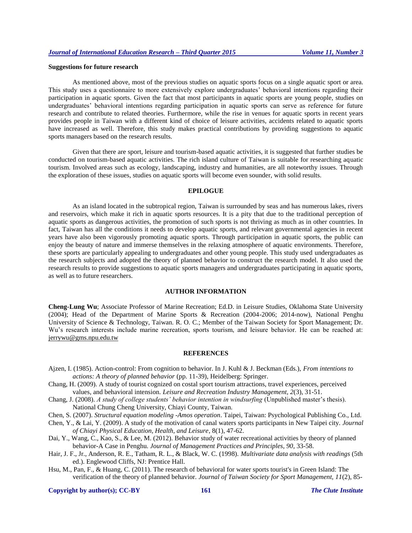# **Suggestions for future research**

As mentioned above, most of the previous studies on aquatic sports focus on a single aquatic sport or area. This study uses a questionnaire to more extensively explore undergraduates' behavioral intentions regarding their participation in aquatic sports. Given the fact that most participants in aquatic sports are young people, studies on undergraduates' behavioral intentions regarding participation in aquatic sports can serve as reference for future research and contribute to related theories. Furthermore, while the rise in venues for aquatic sports in recent years provides people in Taiwan with a different kind of choice of leisure activities, accidents related to aquatic sports have increased as well. Therefore, this study makes practical contributions by providing suggestions to aquatic sports managers based on the research results.

Given that there are sport, leisure and tourism-based aquatic activities, it is suggested that further studies be conducted on tourism-based aquatic activities. The rich island culture of Taiwan is suitable for researching aquatic tourism. Involved areas such as ecology, landscaping, industry and humanities, are all noteworthy issues. Through the exploration of these issues, studies on aquatic sports will become even sounder, with solid results.

#### **EPILOGUE**

As an island located in the subtropical region, Taiwan is surrounded by seas and has numerous lakes, rivers and reservoirs, which make it rich in aquatic sports resources. It is a pity that due to the traditional perception of aquatic sports as dangerous activities, the promotion of such sports is not thriving as much as in other countries. In fact, Taiwan has all the conditions it needs to develop aquatic sports, and relevant governmental agencies in recent years have also been vigorously promoting aquatic sports. Through participation in aquatic sports, the public can enjoy the beauty of nature and immerse themselves in the relaxing atmosphere of aquatic environments. Therefore, these sports are particularly appealing to undergraduates and other young people. This study used undergraduates as the research subjects and adopted the theory of planned behavior to construct the research model. It also used the research results to provide suggestions to aquatic sports managers and undergraduates participating in aquatic sports, as well as to future researchers.

# **AUTHOR INFORMATION**

**Cheng-Lung Wu**; Associate Professor of Marine Recreation; Ed.D. in Leisure Studies, Oklahoma State University (2004); Head of the Department of Marine Sports & Recreation (2004-2006; 2014-now), National Penghu University of Science & Technology, Taiwan. R. O. C.; Member of the Taiwan Society for Sport Management; Dr. Wu's research interests include marine recreation, sports tourism, and leisure behavior. He can be reached at: jerrywu@gms.npu.edu.tw

#### **REFERENCES**

- Ajzen, I. (1985). Action-control: From cognition to behavior. In J. Kuhl & J. Beckman (Eds.), *From intentions to actions: A theory of planned behavior* (pp. 11-39), Heidelberg: Springer.
- Chang, H. (2009). A study of tourist cognized on costal sport tourism attractions, travel experiences, perceived values, and behavioral intension. *Leisure and Recreation Industry Management, 2*(3), 31-51.
- Chang, J. (2008). *A study of college students' behavior intention in windsurfing* (Unpublished master's thesis). National Chung Cheng University, Chiayi County, Taiwan.
- Chen, S. (2007). *Structural equation modeling -Amos operation*. Taipei, Taiwan: Psychological Publishing Co., Ltd.
- Chen, Y., & Lai, Y. (2009). A study of the motivation of canal waters sports participants in New Taipei city. *Journal of Chiayi Physical Education, Health, and Leisure*, 8(1), 47-62.
- Dai, Y., Wang, C., Kao, S., & Lee, M. (2012). Behavior study of water recreational activities by theory of planned behavior-A Case in Penghu. *Journal of Management Practices and Principles, 90*, 33-58.
- Hair, J. F., Jr., Anderson, R. E., Tatham, R. L., & Black, W. C. (1998). *Multivariate data analysis with readings* (5th ed.). Englewood Cliffs, NJ: Prentice Hall.
- Hsu, M., Pan, F., & Huang, C. (2011). The research of behavioral for water sports tourist's in Green Island: The verification of the theory of planned behavior. *Journal of Taiwan Society for Sport Management, 11*(2), 85-

**Copyright by author(s); CC-BY 161** *The Clute Institute*